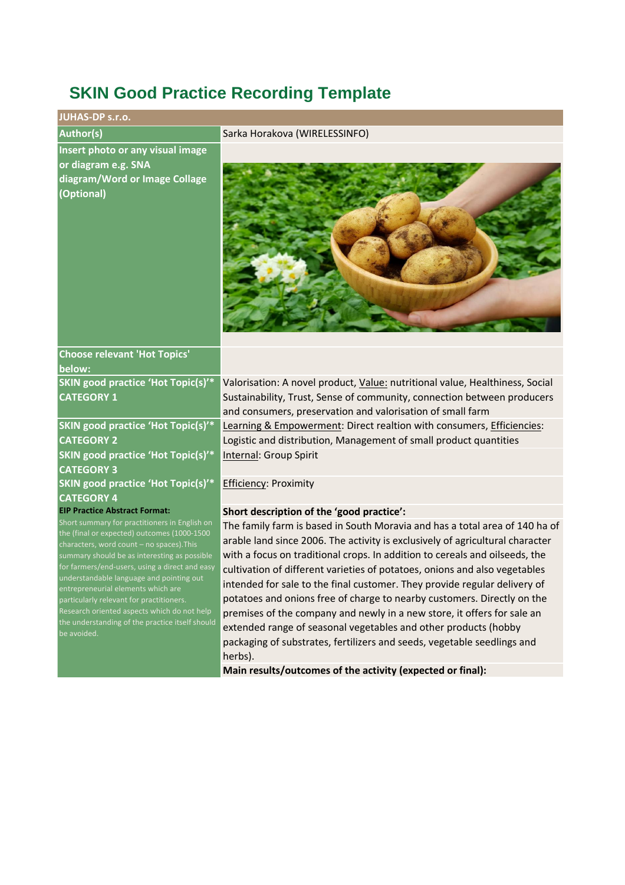# **SKIN Good Practice Recording Template**

| <b>JUHAS-DP s.r.o.</b>                                                                                                                                                                                                                      |                                                                                                                                                                                                                                                                                                                           |
|---------------------------------------------------------------------------------------------------------------------------------------------------------------------------------------------------------------------------------------------|---------------------------------------------------------------------------------------------------------------------------------------------------------------------------------------------------------------------------------------------------------------------------------------------------------------------------|
| <b>Author(s)</b>                                                                                                                                                                                                                            | Sarka Horakova (WIRELESSINFO)                                                                                                                                                                                                                                                                                             |
| Insert photo or any visual image<br>or diagram e.g. SNA<br>diagram/Word or Image Collage<br>(Optional)                                                                                                                                      |                                                                                                                                                                                                                                                                                                                           |
| <b>Choose relevant 'Hot Topics'</b><br>below:                                                                                                                                                                                               |                                                                                                                                                                                                                                                                                                                           |
| SKIN good practice 'Hot Topic(s)'*<br><b>CATEGORY 1</b>                                                                                                                                                                                     | Valorisation: A novel product, Value: nutritional value, Healthiness, Social<br>Sustainability, Trust, Sense of community, connection between producers<br>and consumers, preservation and valorisation of small farm                                                                                                     |
| SKIN good practice 'Hot Topic(s)'*<br><b>CATEGORY 2</b>                                                                                                                                                                                     | Learning & Empowerment: Direct realtion with consumers, Efficiencies:<br>Logistic and distribution, Management of small product quantities                                                                                                                                                                                |
| SKIN good practice 'Hot Topic(s)'*<br><b>CATEGORY 3</b>                                                                                                                                                                                     | Internal: Group Spirit                                                                                                                                                                                                                                                                                                    |
| SKIN good practice 'Hot Topic(s)'*<br><b>CATEGORY 4</b>                                                                                                                                                                                     | <b>Efficiency: Proximity</b>                                                                                                                                                                                                                                                                                              |
| <b>EIP Practice Abstract Format:</b>                                                                                                                                                                                                        | Short description of the 'good practice':                                                                                                                                                                                                                                                                                 |
| Short summary for practitioners in English on<br>the (final or expected) outcomes (1000-1500<br>characters, word count - no spaces). This<br>summary should be as interesting as possible<br>for farmers/end-users, using a direct and easy | The family farm is based in South Moravia and has a total area of 140 ha of<br>arable land since 2006. The activity is exclusively of agricultural character<br>with a focus on traditional crops. In addition to cereals and oilseeds, the<br>cultivation of different varieties of potatoes, onions and also vegetables |
| understandable language and pointing out<br>entrepreneurial elements which are<br>particularly relevant for practitioners.<br>Research oriented aspects which do not help                                                                   | intended for sale to the final customer. They provide regular delivery of<br>potatoes and onions free of charge to nearby customers. Directly on the<br>premises of the company and newly in a new store, it offers for sale an                                                                                           |

Research oriented aspects which do not help the understanding of the practice itself should

herbs).

**Main results/outcomes of the activity (expected or final):** 

extended range of seasonal vegetables and other products (hobby packaging of substrates, fertilizers and seeds, vegetable seedlings and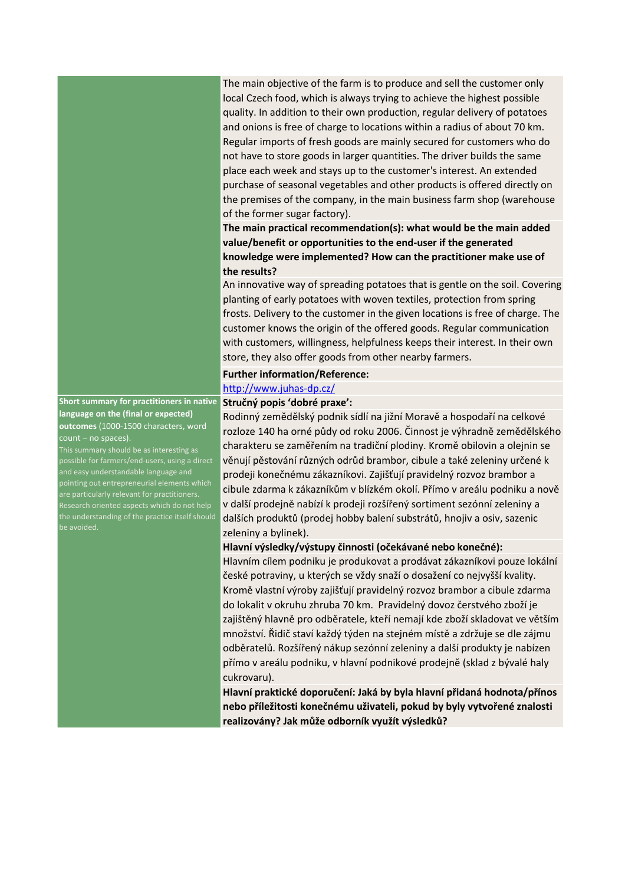The main objective of the farm is to produce and sell the customer only local Czech food, which is always trying to achieve the highest possible quality. In addition to their own production, regular delivery of potatoes and onions is free of charge to locations within a radius of about 70 km. Regular imports of fresh goods are mainly secured for customers who do not have to store goods in larger quantities. The driver builds the same place each week and stays up to the customer's interest. An extended purchase of seasonal vegetables and other products is offered directly on the premises of the company, in the main business farm shop (warehouse of the former sugar factory).

**The main practical recommendation(s): what would be the main added value/benefit or opportunities to the end-user if the generated knowledge were implemented? How can the practitioner make use of the results?**

An innovative way of spreading potatoes that is gentle on the soil. Covering planting of early potatoes with woven textiles, protection from spring frosts. Delivery to the customer in the given locations is free of charge. The customer knows the origin of the offered goods. Regular communication with customers, willingness, helpfulness keeps their interest. In their own store, they also offer goods from other nearby farmers.

#### **Further information/Reference:**

## <http://www.juhas-dp.cz/>

#### **Stručný popis 'dobré praxe':**

**Short summary for practitioners in native language on the (final or expected) outcomes** (1000-1500 characters, word count – no spaces). This summary should be as interesting as

possible for farmers/end-users, using a direct and easy understandable language and pointing out entrepreneurial elements which Research oriented aspects which do not help the understanding of the practice itself should be avoided.

Rodinný zemědělský podnik sídlí na jižní Moravě a hospodaří na celkové rozloze 140 ha orné půdy od roku 2006. Činnost je výhradně zemědělského charakteru se zaměřením na tradiční plodiny. Kromě obilovin a olejnin se věnují pěstování různých odrůd brambor, cibule a také zeleniny určené k prodeji konečnému zákazníkovi. Zajišťují pravidelný rozvoz brambor a cibule zdarma k zákazníkům v blízkém okolí. Přímo v areálu podniku a nově v další prodejně nabízí k prodeji rozšířený sortiment sezónní zeleniny a dalších produktů (prodej hobby balení substrátů, hnojiv a osiv, sazenic zeleniny a bylinek).

## **Hlavní výsledky/výstupy činnosti (očekávané nebo konečné):**

Hlavním cílem podniku je produkovat a prodávat zákazníkovi pouze lokální české potraviny, u kterých se vždy snaží o dosažení co nejvyšší kvality. Kromě vlastní výroby zajišťují pravidelný rozvoz brambor a cibule zdarma do lokalit v okruhu zhruba 70 km. Pravidelný dovoz čerstvého zboží je zajištěný hlavně pro odběratele, kteří nemají kde zboží skladovat ve větším množství. Řidič staví každý týden na stejném místě a zdržuje se dle zájmu odběratelů. Rozšířený nákup sezónní zeleniny a další produkty je nabízen přímo v areálu podniku, v hlavní podnikové prodejně (sklad z bývalé haly cukrovaru).

**Hlavní praktické doporučení: Jaká by byla hlavní přidaná hodnota/přínos nebo příležitosti konečnému uživateli, pokud by byly vytvořené znalosti realizovány? Jak může odborník využít výsledků?**